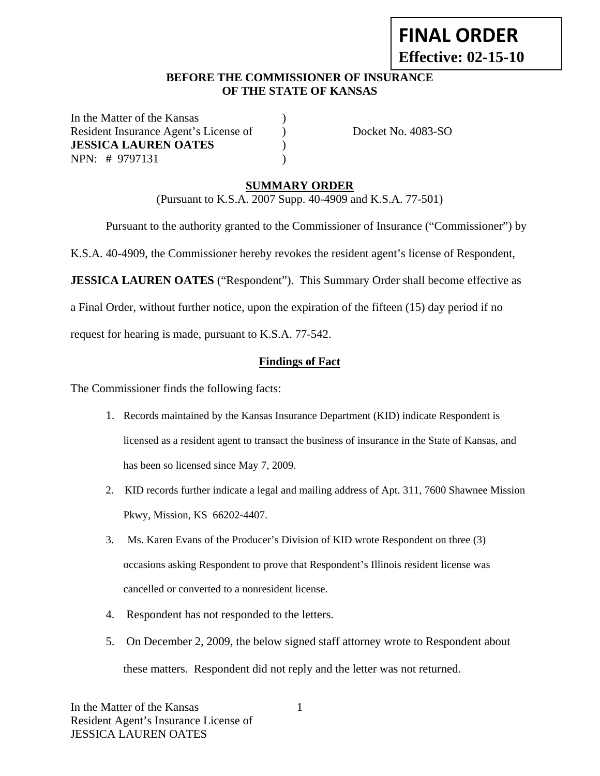# **FINAL ORDER Effective: 02-15-10**

## **BEFORE THE COMMISSIONER OF INSURANCE OF THE STATE OF KANSAS**

In the Matter of the Kansas Resident Insurance Agent's License of ) Docket No. 4083-SO **JESSICA LAUREN OATES** ) NPN: # 9797131 )

# **SUMMARY ORDER**

(Pursuant to K.S.A. 2007 Supp. 40-4909 and K.S.A. 77-501)

Pursuant to the authority granted to the Commissioner of Insurance ("Commissioner") by

K.S.A. 40-4909, the Commissioner hereby revokes the resident agent's license of Respondent,

**JESSICA LAUREN OATES** ("Respondent"). This Summary Order shall become effective as

a Final Order, without further notice, upon the expiration of the fifteen (15) day period if no

request for hearing is made, pursuant to K.S.A. 77-542.

#### **Findings of Fact**

The Commissioner finds the following facts:

- 1. Records maintained by the Kansas Insurance Department (KID) indicate Respondent is licensed as a resident agent to transact the business of insurance in the State of Kansas, and has been so licensed since May 7, 2009.
- 2. KID records further indicate a legal and mailing address of Apt. 311, 7600 Shawnee Mission Pkwy, Mission, KS 66202-4407.
- 3. Ms. Karen Evans of the Producer's Division of KID wrote Respondent on three (3) occasions asking Respondent to prove that Respondent's Illinois resident license was cancelled or converted to a nonresident license.
- 4. Respondent has not responded to the letters.
- 5. On December 2, 2009, the below signed staff attorney wrote to Respondent about these matters. Respondent did not reply and the letter was not returned.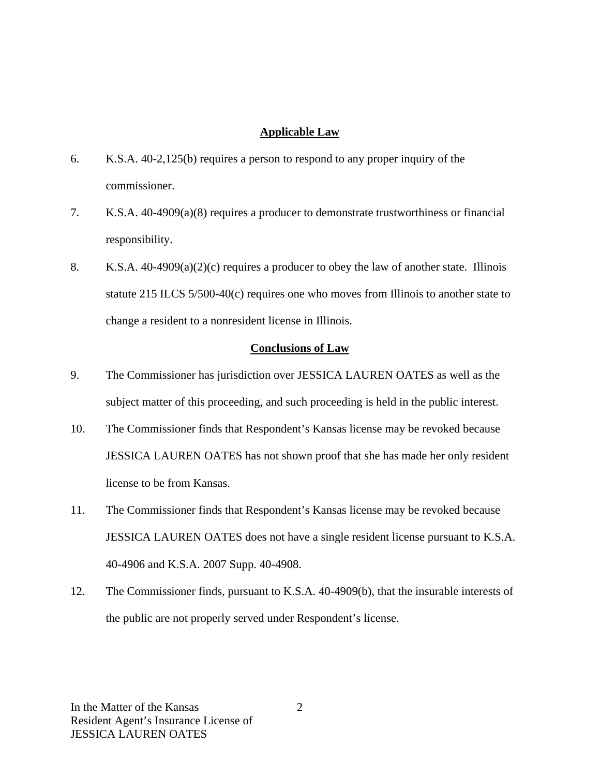#### **Applicable Law**

- 6. K.S.A. 40-2,125(b) requires a person to respond to any proper inquiry of the commissioner.
- 7. K.S.A. 40-4909(a)(8) requires a producer to demonstrate trustworthiness or financial responsibility.
- 8. K.S.A.  $40-4909(a)(2)(c)$  requires a producer to obey the law of another state. Illinois statute 215 ILCS 5/500-40(c) requires one who moves from Illinois to another state to change a resident to a nonresident license in Illinois.

#### **Conclusions of Law**

- 9. The Commissioner has jurisdiction over JESSICA LAUREN OATES as well as the subject matter of this proceeding, and such proceeding is held in the public interest.
- 10. The Commissioner finds that Respondent's Kansas license may be revoked because JESSICA LAUREN OATES has not shown proof that she has made her only resident license to be from Kansas.
- 11. The Commissioner finds that Respondent's Kansas license may be revoked because JESSICA LAUREN OATES does not have a single resident license pursuant to K.S.A. 40-4906 and K.S.A. 2007 Supp. 40-4908.
- 12. The Commissioner finds, pursuant to K.S.A. 40-4909(b), that the insurable interests of the public are not properly served under Respondent's license.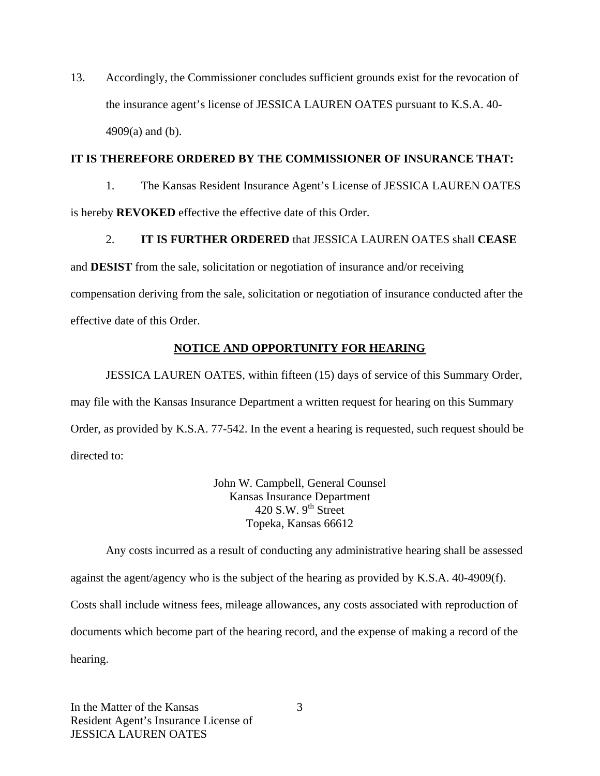13. Accordingly, the Commissioner concludes sufficient grounds exist for the revocation of the insurance agent's license of JESSICA LAUREN OATES pursuant to K.S.A. 40- 4909(a) and (b).

#### **IT IS THEREFORE ORDERED BY THE COMMISSIONER OF INSURANCE THAT:**

1. The Kansas Resident Insurance Agent's License of JESSICA LAUREN OATES is hereby **REVOKED** effective the effective date of this Order.

## 2. **IT IS FURTHER ORDERED** that JESSICA LAUREN OATES shall **CEASE**

and **DESIST** from the sale, solicitation or negotiation of insurance and/or receiving compensation deriving from the sale, solicitation or negotiation of insurance conducted after the effective date of this Order.

## **NOTICE AND OPPORTUNITY FOR HEARING**

JESSICA LAUREN OATES, within fifteen (15) days of service of this Summary Order, may file with the Kansas Insurance Department a written request for hearing on this Summary Order, as provided by K.S.A. 77-542. In the event a hearing is requested, such request should be directed to:

> John W. Campbell, General Counsel Kansas Insurance Department 420 S.W.  $9<sup>th</sup>$  Street Topeka, Kansas 66612

Any costs incurred as a result of conducting any administrative hearing shall be assessed against the agent/agency who is the subject of the hearing as provided by K.S.A. 40-4909(f). Costs shall include witness fees, mileage allowances, any costs associated with reproduction of documents which become part of the hearing record, and the expense of making a record of the hearing.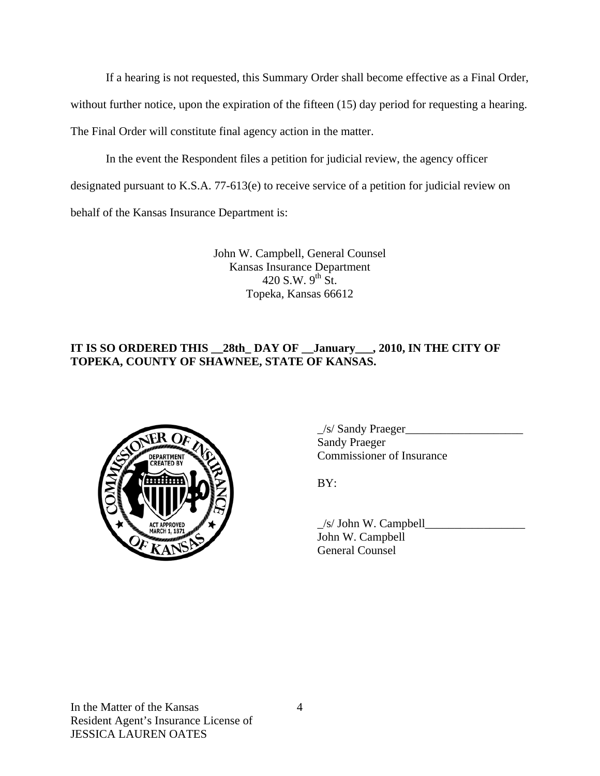If a hearing is not requested, this Summary Order shall become effective as a Final Order,

without further notice, upon the expiration of the fifteen (15) day period for requesting a hearing.

The Final Order will constitute final agency action in the matter.

In the event the Respondent files a petition for judicial review, the agency officer

designated pursuant to K.S.A. 77-613(e) to receive service of a petition for judicial review on

behalf of the Kansas Insurance Department is:

John W. Campbell, General Counsel Kansas Insurance Department 420 S.W.  $9^{th}$  St. Topeka, Kansas 66612

# **IT IS SO ORDERED THIS \_\_28th\_ DAY OF \_\_January\_\_\_, 2010, IN THE CITY OF TOPEKA, COUNTY OF SHAWNEE, STATE OF KANSAS.**



 $\angle$ s/ Sandy Praeger $\angle$  Sandy Praeger COMMISSIONER COMMISSIONER OF Insurance

 $\angle$ s/ John W. Campbell $\Box$  John W. Campbell General Counsel